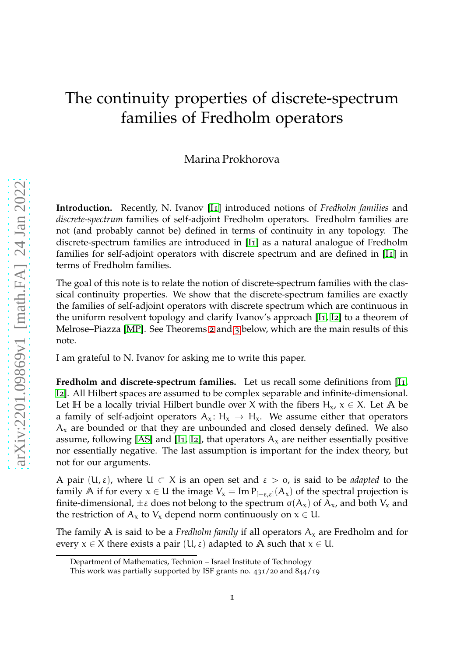## The continuity properties of discrete-spectrum families of Fredholm operators

## Marina Prokhorova

**Introduction.** Recently, N. Ivanov [I[1](#page-3-0)] introduced notions of *Fredholm families* and *discrete-spectrum* families of self-adjoint Fredholm operators. Fredholm families are not (and probably cannot be) defined in terms of continuity in any topology. The discrete-spectrum families are introduced in [I[1](#page-3-0)] as a natural analogue of Fredholm families for self-adjoint operators with discrete spectrum and are defined in [I[1](#page-3-0)] in terms of Fredholm families.

The goal of this note is to relate the notion of discrete-spectrum families with the classical continuity properties. We show that the discrete-spectrum families are exactly the families of self-adjoint operators with discrete spectrum which are continuous in the uniform resolvent topology and clarify Ivanov's approach [I[1](#page-3-0), I[2](#page-3-1)] to a theorem of Melrose–Piazza [\[MP\]](#page-3-2). See Theorems [2](#page-1-0) and [3](#page-2-0) below, which are the main results of this note.

I am grateful to N. Ivanov for asking me to write this paper.

**Fredholm and discrete-spectrum families.** Let us recall some definitions from [I[1](#page-3-0), I[2](#page-3-1)]. All Hilbert spaces are assumed to be complex separable and infinite-dimensional. Let **H** be a locally trivial Hilbert bundle over X with the fibers  $H_x$ ,  $x \in X$ . Let A be a family of self-adjoint operators  $A_x: H_x \to H_x$ . We assume either that operators  $A<sub>x</sub>$  are bounded or that they are unbounded and closed densely defined. We also assume, following [\[AS\]](#page-3-3) and [I[1](#page-3-0), I[2](#page-3-1)], that operators  $A_x$  are neither essentially positive nor essentially negative. The last assumption is important for the index theory, but not for our arguments.

A pair  $(U, \varepsilon)$ , where  $U \subset X$  is an open set and  $\varepsilon > 0$ , is said to be *adapted* to the family A if for every  $x \in U$  the image  $V_x = \text{Im } P_{[-\varepsilon,\varepsilon]}(A_x)$  of the spectral projection is finite-dimensional,  $\pm \varepsilon$  does not belong to the spectrum  $\sigma(A_x)$  of  $A_x$ , and both  $V_x$  and the restriction of  $A_x$  to  $V_x$  depend norm continuously on  $x \in U$ .

The family  $\mathbb A$  is said to be a *Fredholm family* if all operators  $A_x$  are Fredholm and for every  $x \in X$  there exists a pair  $(U, \varepsilon)$  adapted to A such that  $x \in U$ .

Department of Mathematics, Technion – Israel Institute of Technology

This work was partially supported by ISF grants no. 431/20 and 844/19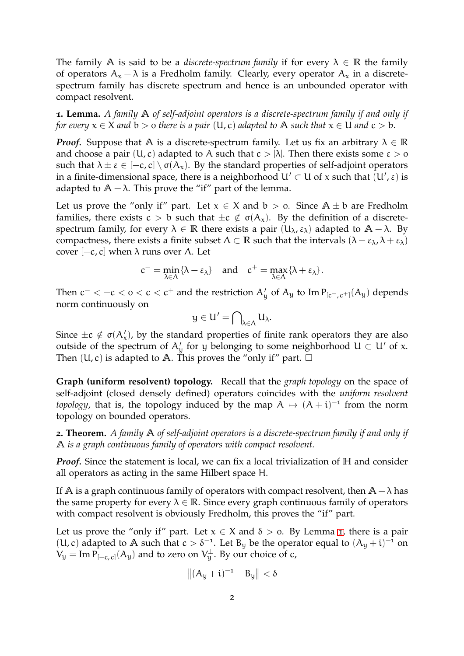The family A is said to be a *discrete-spectrum family* if for every  $\lambda \in \mathbb{R}$  the family of operators  $A_x - \lambda$  is a Fredholm family. Clearly, every operator  $A_x$  in a discretespectrum family has discrete spectrum and hence is an unbounded operator with compact resolvent.

<span id="page-1-1"></span>**1. Lemma.** *A family* **A** *of self-adjoint operators is a discrete-spectrum family if and only if for every*  $x \in X$  *and*  $b > 0$  *there is a pair*  $(U, c)$  *adapted to*  $A$  *such that*  $x \in U$  *and*  $c > b$ *.* 

*Proof.* Suppose that A is a discrete-spectrum family. Let us fix an arbitrary  $\lambda \in \mathbb{R}$ and choose a pair  $(U, c)$  adapted to A such that  $c > |\lambda|$ . Then there exists some  $\varepsilon > 0$ such that  $\lambda \pm \varepsilon \in [-c, c] \setminus \sigma(A_x)$ . By the standard properties of self-adjoint operators in a finite-dimensional space, there is a neighborhood  $U'\subset U$  of x such that  $(U',\epsilon)$  is adapted to  $A - \lambda$ . This prove the "if" part of the lemma.

Let us prove the "only if" part. Let  $x \in X$  and  $b > 0$ . Since  $A \pm b$  are Fredholm families, there exists c > b such that  $\pm c \notin \sigma(A_x)$ . By the definition of a discretespectrum family, for every  $\lambda \in \mathbb{R}$  there exists a pair  $(U_{\lambda}, \varepsilon_{\lambda})$  adapted to  $A - \lambda$ . By compactness, there exists a finite subset  $\Lambda \subset \mathbb{R}$  such that the intervals  $(\lambda - \varepsilon_{\lambda}, \lambda + \varepsilon_{\lambda})$ cover  $[-c, c]$  when  $λ$  runs over  $Λ$ . Let

$$
c^{-} = \min_{\lambda \in \Lambda} \{ \lambda - \epsilon_{\lambda} \} \quad \text{and} \quad c^{+} = \max_{\lambda \in \Lambda} \{ \lambda + \epsilon_{\lambda} \}.
$$

Then  $c^- < -c < o < c^+$  and the restriction  $A'_y$  of  $A_y$  to Im  $P_{[c^-,c^+]}(A_y)$  depends norm continuously on

$$
y\in U'=\bigcap\nolimits_{\lambda\in\Lambda}U_\lambda.
$$

Since  $\pm c \notin \sigma(A_x')$ , by the standard properties of finite rank operators they are also outside of the spectrum of  $A'_y$  for y belonging to some neighborhood  $U \subset U'$  of x. Then  $(U, c)$  is adapted to A. This proves the "only if" part.  $\square$ 

**Graph (uniform resolvent) topology.** Recall that the *graph topology* on the space of self-adjoint (closed densely defined) operators coincides with the *uniform resolvent topology*, that is, the topology induced by the map  $A \mapsto (A + i)^{-1}$  from the norm topology on bounded operators.

<span id="page-1-0"></span>**2. Theorem.** *A family* **A** *of self-adjoint operators is a discrete-spectrum family if and only if* **A** *is a graph continuous family of operators with compact resolvent.*

*Proof.* Since the statement is local, we can fix a local trivialization of **H** and consider all operators as acting in the same Hilbert space H.

If **A** is a graph continuous family of operators with compact resolvent, then  $A - \lambda$  has the same property for every  $\lambda \in \mathbb{R}$ . Since every graph continuous family of operators with compact resolvent is obviously Fredholm, this proves the "if" part.

Let us prove the "only if" part. Let  $x \in X$  and  $\delta > 0$ . By Lemma [1](#page-1-1), there is a pair (U, c) adapted to A such that  $c > \delta^{-1}$ . Let B<sub>y</sub> be the operator equal to  $(A_y + i)^{-1}$  on  $V_y = \text{Im } P_{[-c, c]}(A_y)$  and to zero on  $V_y^{\perp}$ . By our choice of c,

$$
\left\|(A_y+i)^{-1}-B_y\right\|<\delta
$$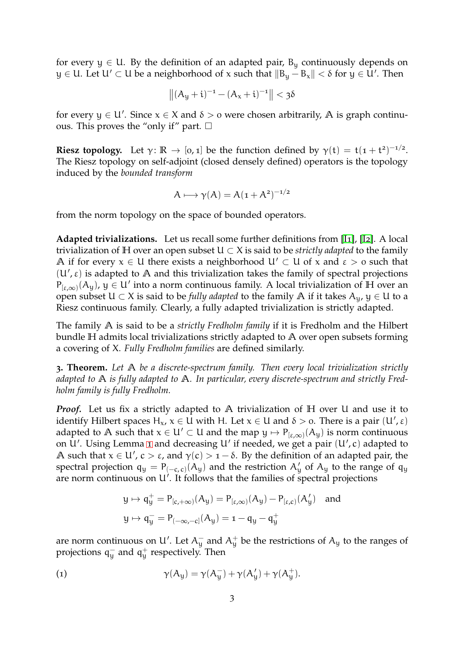for every  $y \in U$ . By the definition of an adapted pair,  $B_y$  continuously depends on  $y ∈ U$ . Let U' ⊂ U be a neighborhood of x such that  $\|B_y - B_x\| < \delta$  for  $y ∈ U'$ . Then

$$
\left\| (A_y + i)^{-1} - (A_x + i)^{-1} \right\| < 3\delta
$$

for every  $y \in U'$ . Since  $x \in X$  and  $\delta > 0$  were chosen arbitrarily,  $A$  is graph continuous. This proves the "only if" part.  $\square$ 

**Riesz topology.** Let  $\gamma: \mathbb{R} \to [0, 1]$  be the function defined by  $\gamma(t) = t(1 + t^2)^{-1/2}$ . The Riesz topology on self-adjoint (closed densely defined) operators is the topology induced by the *bounded transform*

$$
A\longmapsto \gamma(A)=A(\mathtt{1}+A^2)^{-1/2}
$$

from the norm topology on the space of bounded operators.

**Adapted trivializations.** Let us recall some further definitions from [I[1](#page-3-0)], [I[2](#page-3-1)]. A local trivialization of **H** over an open subset  $U \subset X$  is said to be *strictly adapted* to the family **A** if for every  $x \in U$  there exists a neighborhood  $U' \subset U$  of x and  $\varepsilon > 0$  such that  $(U', \varepsilon)$  is adapted to A and this trivialization takes the family of spectral projections  $P_{[\epsilon,\infty)}(A_y)$ ,  $y \in U'$  into a norm continuous family. A local trivialization of H over an open subset  $U \subset X$  is said to be *fully adapted* to the family  $A$  if it takes  $A_y$ ,  $y \in U$  to a Riesz continuous family. Clearly, a fully adapted trivialization is strictly adapted.

The family **A** is said to be a *strictly Fredholm family* if it is Fredholm and the Hilbert bundle **H** admits local trivializations strictly adapted to **A** over open subsets forming a covering of X. *Fully Fredholm families* are defined similarly.

<span id="page-2-0"></span>**3. Theorem.** *Let* **A** *be a discrete-spectrum family. Then every local trivialization strictly adapted to* **A** *is fully adapted to* **A***. In particular, every discrete-spectrum and strictly Fredholm family is fully Fredholm.*

*Proof.* Let us fix a strictly adapted to **A** trivialization of **H** over U and use it to identify Hilbert spaces  $H_x$ ,  $x \in U$  with H. Let  $x \in U$  and  $\delta > 0$ . There is a pair  $(U', \varepsilon)$ adapted to A such that  $x \in U' \subset U$  and the map  $y \mapsto P_{[\epsilon,\infty)}(A_y)$  is norm continuous on U′ . Using Lemma [1](#page-1-1) and decreasing U′ if needed, we get a pair (U′ , c) adapted to A such that  $x \in U'$ ,  $c > \varepsilon$ , and  $\gamma(c) > 1 - \delta$ . By the definition of an adapted pair, the spectral projection  $q_y = P_{(-c, c)}(A_y)$  and the restriction  $A'_y$  of  $A_y$  to the range of  $q_y$ are norm continuous on U′ . It follows that the families of spectral projections

<span id="page-2-1"></span>
$$
y \mapsto q_y^+ = P_{[c,+\infty)}(A_y) = P_{[\epsilon,\infty)}(A_y) - P_{[\epsilon,c)}(A'_y) \text{ and}
$$
  

$$
y \mapsto q_y^- = P_{(-\infty,-c]}(A_y) = 1 - q_y - q_y^+
$$

are norm continuous on U'. Let  $\mathsf{A}^{\scriptscriptstyle{-}}_{\mathsf{y}}$  and  $\mathsf{A}^{\scriptscriptstyle{+}}_{\mathsf{y}}$  be the restrictions of  $\mathsf{A}_{\mathsf{y}}$  to the ranges of projections  $\mathfrak{q}_{\mathrm{y}}^-$  and  $\mathfrak{q}_{\mathrm{y}}^+$  respectively. Then

(1) 
$$
\gamma(A_y) = \gamma(A_y^-) + \gamma(A_y') + \gamma(A_y^+).
$$